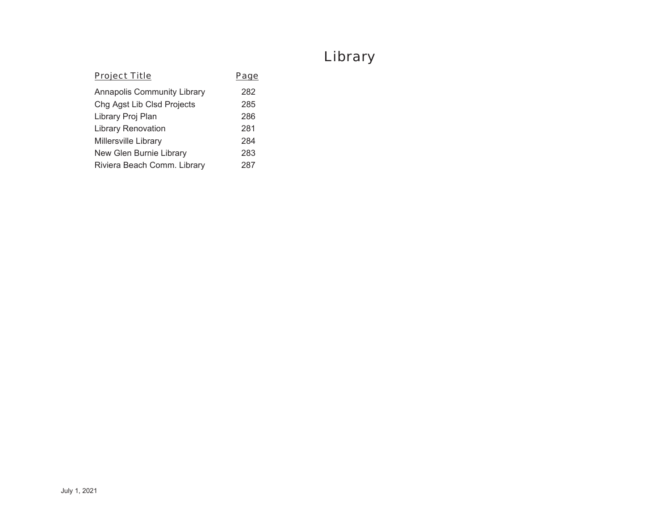# Library

| <b>Project Title</b>               | Page |
|------------------------------------|------|
| <b>Annapolis Community Library</b> | 282  |
| Chg Agst Lib Clsd Projects         | 285  |
| Library Proj Plan                  | 286  |
| <b>Library Renovation</b>          | 281  |
| <b>Millersville Library</b>        | 284  |
| New Glen Burnie Library            | 283  |
| Riviera Beach Comm. Library        | 287  |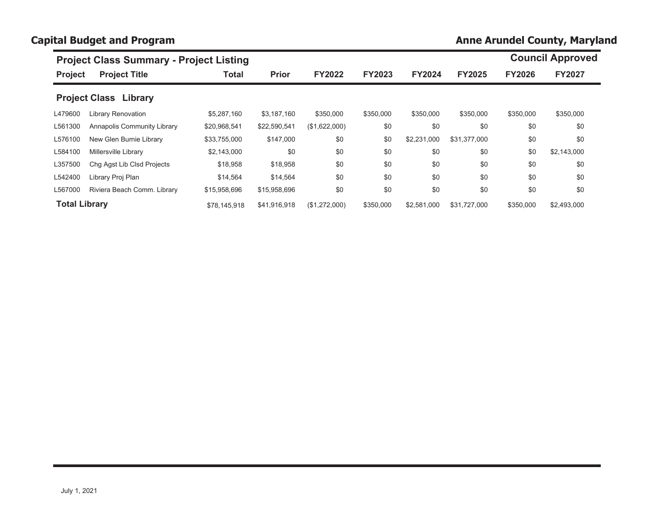# **Capital Budget and Program**

# **Anne Arundel County, Maryland**

|                      | <b>Project Class Summary - Project Listing</b> |              |              |               |               |               |               |               | <b>Council Approved</b> |
|----------------------|------------------------------------------------|--------------|--------------|---------------|---------------|---------------|---------------|---------------|-------------------------|
| <b>Project</b>       | <b>Project Title</b>                           | <b>Total</b> | <b>Prior</b> | <b>FY2022</b> | <b>FY2023</b> | <b>FY2024</b> | <b>FY2025</b> | <b>FY2026</b> | <b>FY2027</b>           |
|                      | <b>Project Class Library</b>                   |              |              |               |               |               |               |               |                         |
| L479600              | <b>Library Renovation</b>                      | \$5,287,160  | \$3,187,160  | \$350,000     | \$350,000     | \$350,000     | \$350,000     | \$350,000     | \$350,000               |
| L561300              | Annapolis Community Library                    | \$20,968,541 | \$22,590,541 | (\$1,622,000) | \$0           | \$0           | \$0           | \$0           | \$0                     |
| L576100              | New Glen Burnie Library                        | \$33,755,000 | \$147,000    | \$0           | \$0           | \$2,231,000   | \$31.377.000  | \$0           | \$0                     |
| L584100              | Millersville Library                           | \$2,143,000  | \$0          | \$0           | \$0           | \$0           | \$0           | \$0           | \$2,143,000             |
| L357500              | Chq Agst Lib Clsd Projects                     | \$18,958     | \$18,958     | \$0           | \$0           | \$0           | \$0           | \$0           | \$0                     |
| L542400              | Library Proj Plan                              | \$14,564     | \$14,564     | \$0           | \$0           | \$0           | \$0           | \$0           | \$0                     |
| L567000              | Riviera Beach Comm. Library                    | \$15,958,696 | \$15,958,696 | \$0           | \$0           | \$0           | \$0           | \$0           | \$0                     |
| <b>Total Library</b> |                                                | \$78.145.918 | \$41.916.918 | (\$1,272,000) | \$350,000     | \$2,581,000   | \$31.727.000  | \$350,000     | \$2,493,000             |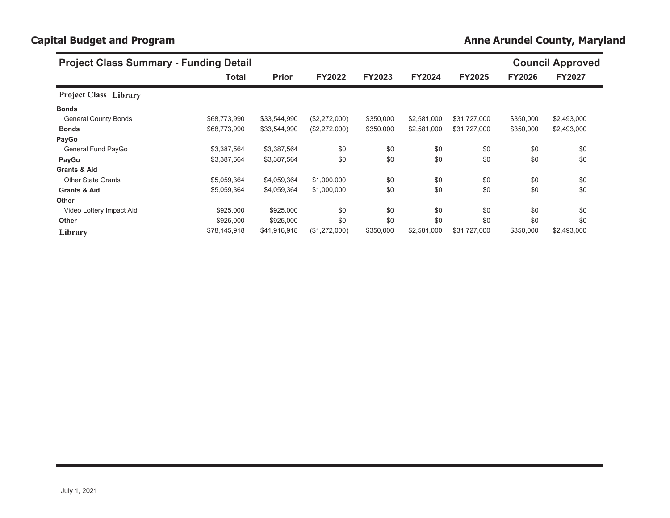# **Capital Budget and Program** *Anne Arundel County, Maryland**Anne Arundel County, Maryland* **<b>***Anne Arundel County, Maryland*

| <b>Project Class Summary - Funding Detail</b> |              |              |               |               |               |               |               | <b>Council Approved</b> |  |  |
|-----------------------------------------------|--------------|--------------|---------------|---------------|---------------|---------------|---------------|-------------------------|--|--|
|                                               | Total        | <b>Prior</b> | <b>FY2022</b> | <b>FY2023</b> | <b>FY2024</b> | <b>FY2025</b> | <b>FY2026</b> | <b>FY2027</b>           |  |  |
| <b>Project Class Library</b>                  |              |              |               |               |               |               |               |                         |  |  |
| <b>Bonds</b>                                  |              |              |               |               |               |               |               |                         |  |  |
| <b>General County Bonds</b>                   | \$68,773,990 | \$33,544,990 | (\$2,272,000) | \$350,000     | \$2,581,000   | \$31,727,000  | \$350,000     | \$2,493,000             |  |  |
| <b>Bonds</b>                                  | \$68,773,990 | \$33,544,990 | (\$2,272,000) | \$350,000     | \$2,581,000   | \$31,727,000  | \$350,000     | \$2,493,000             |  |  |
| PayGo                                         |              |              |               |               |               |               |               |                         |  |  |
| General Fund PayGo                            | \$3,387,564  | \$3,387,564  | \$0           | \$0           | \$0           | \$0           | \$0           | \$0                     |  |  |
| PayGo                                         | \$3,387,564  | \$3,387,564  | \$0           | \$0           | \$0           | \$0           | \$0           | \$0                     |  |  |
| <b>Grants &amp; Aid</b>                       |              |              |               |               |               |               |               |                         |  |  |
| <b>Other State Grants</b>                     | \$5,059,364  | \$4,059,364  | \$1,000,000   | \$0           | \$0           | \$0           | \$0           | \$0                     |  |  |
| <b>Grants &amp; Aid</b>                       | \$5,059,364  | \$4,059,364  | \$1,000,000   | \$0           | \$0           | \$0           | \$0           | \$0                     |  |  |
| <b>Other</b>                                  |              |              |               |               |               |               |               |                         |  |  |
| Video Lottery Impact Aid                      | \$925,000    | \$925,000    | \$0           | \$0           | \$0           | \$0           | \$0           | \$0                     |  |  |
| <b>Other</b>                                  | \$925,000    | \$925,000    | \$0           | \$0           | \$0           | \$0           | \$0           | \$0                     |  |  |
| Library                                       | \$78,145,918 | \$41,916,918 | (\$1,272,000) | \$350,000     | \$2,581,000   | \$31,727,000  | \$350,000     | \$2,493,000             |  |  |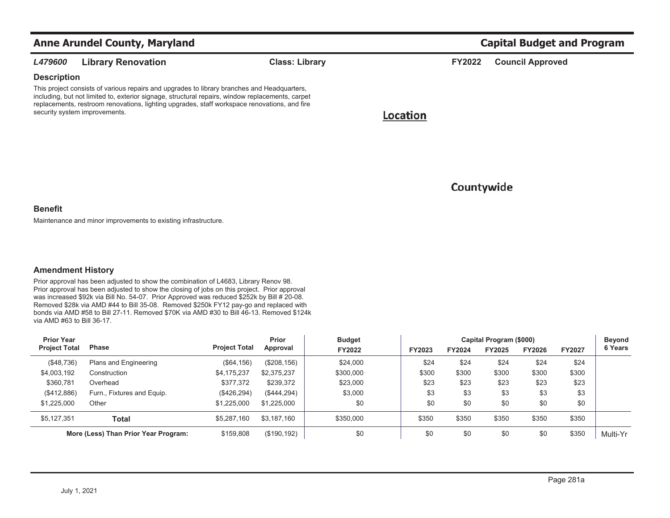|                    | <b>Anne Arundel County, Maryland</b>                                                                                                                                                                                                                                                                                             |                       |          |               | <b>Capital Budget and Program</b> |  |  |  |  |  |
|--------------------|----------------------------------------------------------------------------------------------------------------------------------------------------------------------------------------------------------------------------------------------------------------------------------------------------------------------------------|-----------------------|----------|---------------|-----------------------------------|--|--|--|--|--|
| <b>L479600</b>     | <b>Library Renovation</b>                                                                                                                                                                                                                                                                                                        | <b>Class: Library</b> |          | <b>FY2022</b> | <b>Council Approved</b>           |  |  |  |  |  |
| <b>Description</b> |                                                                                                                                                                                                                                                                                                                                  |                       |          |               |                                   |  |  |  |  |  |
|                    | This project consists of various repairs and upgrades to library branches and Headquarters,<br>including, but not limited to, exterior signage, structural repairs, window replacements, carpet<br>replacements, restroom renovations, lighting upgrades, staff workspace renovations, and fire<br>security system improvements. |                       | Location |               |                                   |  |  |  |  |  |

## Countywide

### **Benefit**

Maintenance and minor improvements to existing infrastructure.

## **Amendment History**

Prior approval has been adjusted to show the combination of L4683, Library Renov 98. Prior approval has been adjusted to show the closing of jobs on this project. Prior approval was increased \$92k via Bill No. 54-07. Prior Approved was reduced \$252k by Bill # 20-08. Removed \$28k via AMD #44 to Bill 35-08. Removed \$250k FY12 pay-go and replaced with bonds via AMD #58 to Bill 27-11. Removed \$70K via AMD #30 to Bill 46-13. Removed \$124k via AMD #63 to Bill 36-17.

| <b>Prior Year</b>                    | <b>Phase</b>               |                      | Prior<br>Approval | <b>Budget</b><br><b>FY2022</b> |        | Capital Program (\$000) |        |               |               |          |  |
|--------------------------------------|----------------------------|----------------------|-------------------|--------------------------------|--------|-------------------------|--------|---------------|---------------|----------|--|
| <b>Project Total</b>                 |                            | <b>Project Total</b> |                   |                                | FY2023 | FY2024                  | FY2025 | <b>FY2026</b> | <b>FY2027</b> | 6 Years  |  |
| (\$48,736)                           | Plans and Engineering      | ( \$64, 156)         | (\$208, 156)      | \$24,000                       | \$24   | \$24                    | \$24   | \$24          | \$24          |          |  |
| \$4,003,192                          | Construction               | \$4,175,237          | \$2,375,237       | \$300,000                      | \$300  | \$300                   | \$300  | \$300         | \$300         |          |  |
| \$360,781                            | Overhead                   | \$377,372            | \$239,372         | \$23,000                       | \$23   | \$23                    | \$23   | \$23          | \$23          |          |  |
| (\$412,886)                          | Furn., Fixtures and Equip. | (\$426, 294)         | (\$444,294)       | \$3,000                        | \$3    | \$3                     | \$3    | \$3           | \$3           |          |  |
| \$1,225,000                          | Other                      | \$1,225,000          | \$1,225,000       | \$0                            | \$0    | \$0                     | \$0    | \$0           | \$0           |          |  |
| \$5,127,351                          | Total                      | \$5,287,160          | \$3.187.160       | \$350,000                      | \$350  | \$350                   | \$350  | \$350         | \$350         |          |  |
| More (Less) Than Prior Year Program: |                            | \$159,808            | (\$190, 192)      | \$0                            | \$0    | \$0                     | \$0    | \$0           | \$350         | Multi-Yr |  |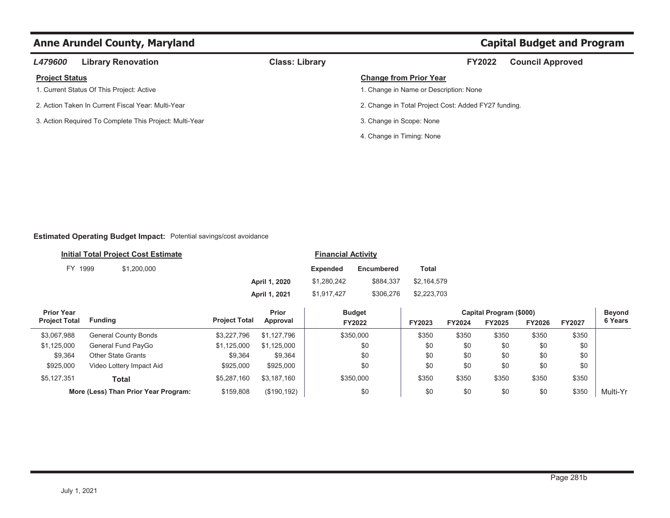| <b>L479600</b>        | <b>Library Renovation</b>                               | <b>Class: Library</b> | <b>FY2022</b>                                        | <b>Council Approved</b> |
|-----------------------|---------------------------------------------------------|-----------------------|------------------------------------------------------|-------------------------|
| <b>Project Status</b> |                                                         |                       | <b>Change from Prior Year</b>                        |                         |
|                       | 1. Current Status Of This Project: Active               |                       | 1. Change in Name or Description: None               |                         |
|                       | 2. Action Taken In Current Fiscal Year: Multi-Year      |                       | 2. Change in Total Project Cost: Added FY27 funding. |                         |
|                       | 3. Action Required To Complete This Project: Multi-Year |                       | 3. Change in Scope: None                             |                         |
|                       |                                                         |                       | 4. Change in Timing: None                            |                         |

## **Estimated Operating Budget Impact:** Potential savings/cost avoidance

|         | <b>Initial Total Project Cost Estimate</b> |               | <b>Financial Activity</b> |                   |             |
|---------|--------------------------------------------|---------------|---------------------------|-------------------|-------------|
| FY 1999 | \$1,200,000                                |               | Expended                  | <b>Encumbered</b> | Total       |
|         |                                            | April 1, 2020 | \$1,280,242               | \$884.337         | \$2.164.579 |
|         |                                            | April 1, 2021 | \$1,917,427               | \$306.276         | \$2,223,703 |

| <b>Prior Year</b>    |                                      |                      | Prior        | <b>Budget</b> | Capital Program (\$000) |               |        |        |               | Beyond   |
|----------------------|--------------------------------------|----------------------|--------------|---------------|-------------------------|---------------|--------|--------|---------------|----------|
| <b>Project Total</b> | Funding                              | <b>Project Total</b> | Approval     | FY2022        | <b>FY2023</b>           | <b>FY2024</b> | FY2025 | FY2026 | <b>FY2027</b> | 6 Years  |
| \$3,067,988          | General County Bonds                 | \$3.227.796          | \$1.127.796  | \$350,000     | \$350                   | \$350         | \$350  | \$350  | \$350         |          |
| \$1,125,000          | General Fund PayGo                   | \$1,125,000          | \$1,125,000  | \$0           | \$0                     | \$0           | \$0    | \$0    | \$0           |          |
| \$9,364              | <b>Other State Grants</b>            | \$9,364              | \$9,364      | \$0           | \$0                     | \$0           | \$0    | \$0    | \$0           |          |
| \$925,000            | Video Lottery Impact Aid             | \$925,000            | \$925,000    | \$0           | \$0                     | \$0           | \$0    | \$0    | \$0           |          |
| \$5,127,351          | Total                                | \$5.287.160          | \$3.187.160  | \$350,000     | \$350                   | \$350         | \$350  | \$350  | \$350         |          |
|                      | More (Less) Than Prior Year Program: | \$159,808            | (\$190, 192) | \$0           | \$0                     | \$0           | \$0    | \$0    | \$350         | Multi-Yr |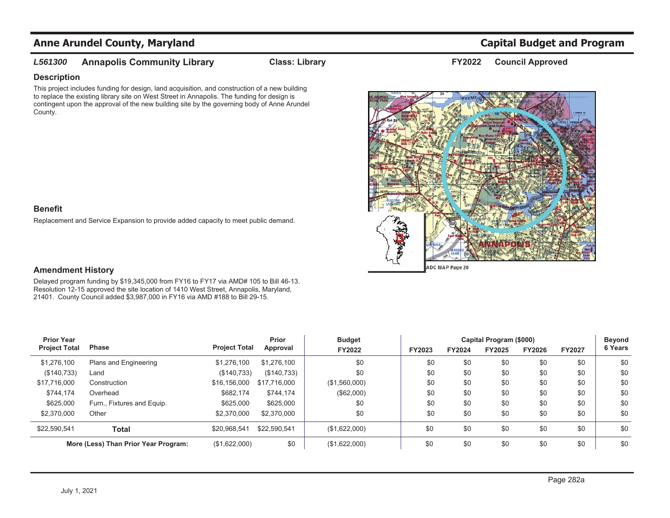### *L561300***Annapolis Community Library Class: Library Council Approved FY2022**

## **Description**

This project includes funding for design, land acquisition, and construction of a new building to replace the existing library site on West Street in Annapolis. The funding for design is contingent upon the approval of the new building site by the governing body of Anne Arundel County.



## **Benefit**

Replacement and Service Expansion to provide added capacity to meet public demand.

## **Amendment History**

Delayed program funding by \$19,345,000 from FY16 to FY17 via AMD# 105 to Bill 46-13. Resolution 12-15 approved the site location of 1410 West Street, Annapolis, Maryland, 21401. County Council added \$3,987,000 in FY16 via AMD #188 to Bill 29-15.

| <b>Prior Year</b>                    | <b>Phase</b>               |                      | Prior<br>Approval | <b>Budget</b> |        |        | Capital Program (\$000) |               |               | <b>Beyond</b> |
|--------------------------------------|----------------------------|----------------------|-------------------|---------------|--------|--------|-------------------------|---------------|---------------|---------------|
| <b>Project Total</b>                 |                            | <b>Project Total</b> |                   | FY2022        | FY2023 | FY2024 | FY2025                  | <b>FY2026</b> | <b>FY2027</b> | 6 Years       |
| \$1,276,100                          | Plans and Engineering      | \$1,276,100          | \$1.276.100       | \$0           | \$0    | \$0    | \$0                     | \$0           | \$0           | \$0           |
| (\$140,733)                          | Land                       | (\$140,733)          | (\$140,733)       | \$0           | \$0    | \$0    | \$0                     | \$0           | \$0           | \$0           |
| \$17,716,000                         | Construction               | \$16,156,000         | \$17,716,000      | (\$1,560,000) | \$0    | \$0    | \$0                     | \$0           | \$0           | \$0           |
| \$744,174                            | Overhead                   | \$682,174            | \$744,174         | (\$62,000)    | \$0    | \$0    | \$0                     | \$0           | \$0           | \$0           |
| \$625,000                            | Furn., Fixtures and Equip. | \$625,000            | \$625,000         | \$0           | \$0    | \$0    | \$0                     | \$0           | \$0           | \$0           |
| \$2,370,000                          | Other                      | \$2,370,000          | \$2,370,000       | \$0           | \$0    | \$0    | \$0                     | \$0           | \$0           | \$0           |
| \$22,590,541                         | Total                      | \$20,968,541         | \$22,590,541      | (\$1,622,000) | \$0    | \$0    | \$0                     | \$0           | \$0           | \$0           |
| More (Less) Than Prior Year Program: |                            | (\$1,622,000)        | \$0               | (\$1,622,000) | \$0    | \$0    | \$0                     | \$0           | \$0           | \$0           |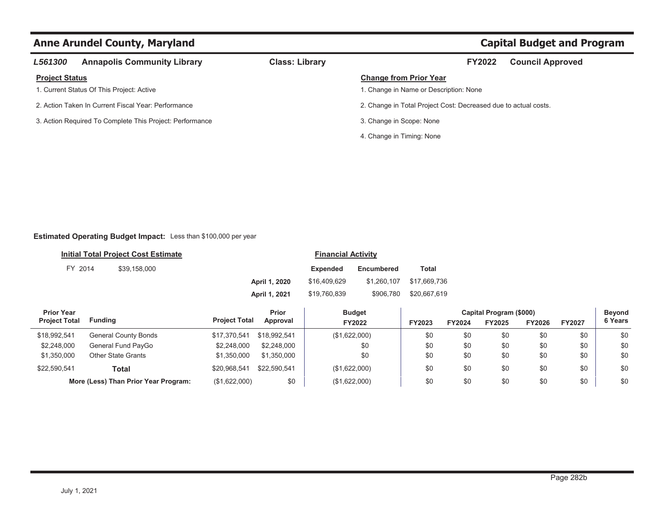| L561300               | <b>Annapolis Community Library</b>                       | <b>Class: Library</b> | <b>FY2022</b>                                                   | <b>Council Approved</b> |
|-----------------------|----------------------------------------------------------|-----------------------|-----------------------------------------------------------------|-------------------------|
| <b>Project Status</b> |                                                          |                       | <b>Change from Prior Year</b>                                   |                         |
|                       | 1. Current Status Of This Project: Active                |                       | 1. Change in Name or Description: None                          |                         |
|                       | 2. Action Taken In Current Fiscal Year: Performance      |                       | 2. Change in Total Project Cost: Decreased due to actual costs. |                         |
|                       | 3. Action Required To Complete This Project: Performance |                       | 3. Change in Scope: None                                        |                         |
|                       |                                                          |                       | 4. Change in Timing: None                                       |                         |
|                       |                                                          |                       |                                                                 |                         |

## **Estimated Operating Budget Impact:** Less than \$100,000 per year

| Initial Total Project Cost Estimate |         |              |               | <b>Financial Activity</b> |             |              |
|-------------------------------------|---------|--------------|---------------|---------------------------|-------------|--------------|
|                                     | FY 2014 | \$39.158.000 |               | <b>Expended</b>           | Encumbered  | Total        |
|                                     |         |              | April 1, 2020 | \$16,409,629              | \$1.260.107 | \$17.669.736 |
|                                     |         |              | April 1, 2021 | \$19.760.839              | \$906.780   | \$20.667.619 |

| <b>Prior Year</b>    |                                      |                      | Prior        | <b>Budget</b> | Capital Program (\$000) |        |        |        |               | <b>Beyond</b> |
|----------------------|--------------------------------------|----------------------|--------------|---------------|-------------------------|--------|--------|--------|---------------|---------------|
| <b>Project Total</b> | Fundina                              | <b>Project Total</b> | Approval     | FY2022        | FY2023                  | FY2024 | FY2025 | FY2026 | <b>FY2027</b> | 6 Years       |
| \$18,992,541         | <b>General County Bonds</b>          | \$17.370.541         | \$18,992.541 | (\$1,622,000) | \$0                     | \$0    | \$0    | \$0    | \$0           | \$0           |
| \$2,248,000          | General Fund PayGo                   | \$2,248,000          | \$2,248,000  | \$0           | \$0                     | \$0    | \$0    | \$0    | \$0           | \$0           |
| \$1,350,000          | <b>Other State Grants</b>            | \$1.350,000          | \$1.350,000  | \$0           | \$0                     | \$0    | \$0    | \$0    | \$0           | \$0           |
| \$22,590,541         | Total                                | \$20.968.541         | \$22.590.541 | (\$1,622,000) | \$0                     | \$0    | \$0    | \$0    | \$0           | \$0           |
|                      | More (Less) Than Prior Year Program: | (\$1,622,000)        | \$0          | (\$1,622,000) | \$0                     | \$0    | \$0    | \$0    | \$0           | \$0           |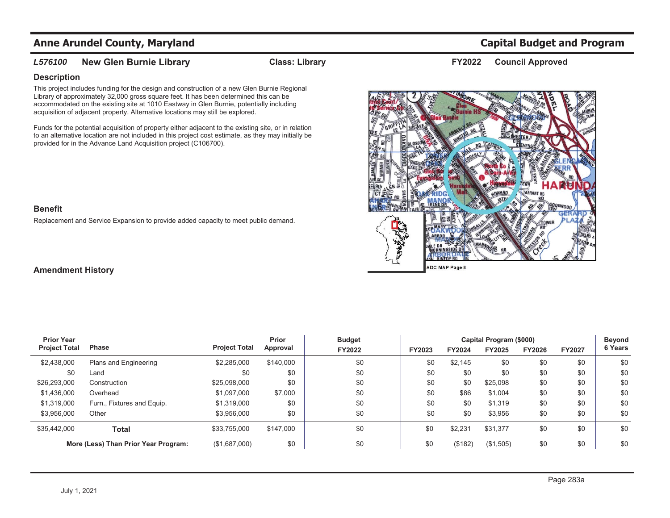### *L576100***New Glen Burnie Library Class: Library Class: Library FY2022** Council Approved

## **Description**

This project includes funding for the design and construction of a new Glen Burnie Regional Library of approximately 32,000 gross square feet. It has been determined this can be accommodated on the existing site at 1010 Eastway in Glen Burnie, potentially including acquisition of adjacent property. Alternative locations may still be explored.

Funds for the potential acquisition of property either adjacent to the existing site, or in relation to an alternative location are not included in this project cost estimate, as they may initially be provided for in the Advance Land Acquisition project (C106700).



## **Benefit**

Replacement and Service Expansion to provide added capacity to meet public demand.

## **Amendment History**

| <b>Prior Year</b>    |                                      |                      | <b>Prior</b> | <b>Budget</b> |        | Capital Program (\$000) |           |               |               |         |
|----------------------|--------------------------------------|----------------------|--------------|---------------|--------|-------------------------|-----------|---------------|---------------|---------|
| <b>Project Total</b> | <b>Phase</b>                         | <b>Project Total</b> | Approval     | FY2022        | FY2023 | FY2024                  | FY2025    | <b>FY2026</b> | <b>FY2027</b> | 6 Years |
| \$2,438,000          | Plans and Engineering                | \$2,285,000          | \$140,000    | \$0           | \$0    | \$2,145                 | \$0       | \$0           | \$0           | \$0     |
| \$0                  | Land                                 | \$0                  | \$0          | \$0           | \$0    | \$0                     | \$0       | \$0           | \$0           | \$0     |
| \$26,293,000         | Construction                         | \$25,098,000         | \$0          | \$0           | \$0    | \$0                     | \$25,098  | \$0           | \$0           | \$0     |
| \$1,436,000          | Overhead                             | \$1,097,000          | \$7,000      | \$0           | \$0    | \$86                    | \$1.004   | \$0           | \$0           | \$0     |
| \$1,319,000          | Furn., Fixtures and Equip.           | \$1.319.000          | \$0          | \$0           | \$0    | \$0                     | \$1.319   | \$0           | \$0           | \$0     |
| \$3,956,000          | Other                                | \$3.956.000          | \$0          | \$0           | \$0    | \$0                     | \$3,956   | \$0           | \$0           | \$0     |
| \$35,442,000         | Total                                | \$33.755.000         | \$147,000    | \$0           | \$0    | \$2,231                 | \$31.377  | \$0           | \$0           | \$0     |
|                      | More (Less) Than Prior Year Program: |                      | \$0          | \$0           | \$0    | (\$182)                 | (\$1,505) | \$0           | \$0           | \$0     |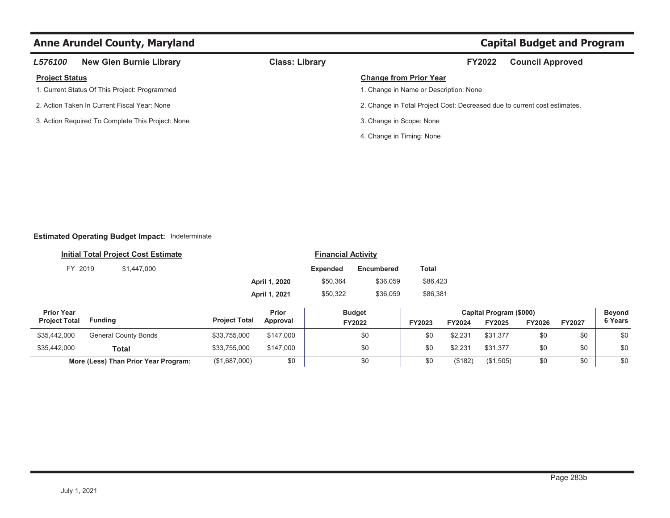| <b>L576100</b>        | <b>New Glen Burnie Library</b>                    | <b>Class: Library</b> | <b>FY2022</b><br><b>Council Approved</b>                                  |
|-----------------------|---------------------------------------------------|-----------------------|---------------------------------------------------------------------------|
| <b>Project Status</b> |                                                   |                       | <b>Change from Prior Year</b>                                             |
|                       | 1. Current Status Of This Project: Programmed     |                       | 1. Change in Name or Description: None                                    |
|                       | 2. Action Taken In Current Fiscal Year: None      |                       | 2. Change in Total Project Cost: Decreased due to current cost estimates. |
|                       | 3. Action Required To Complete This Project: None |                       | 3. Change in Scope: None                                                  |
|                       |                                                   |                       | 4. Change in Timing: None                                                 |

## **Estimated Operating Budget Impact:** Indeterminate

|                      | <b>Initial Total Project Cost Estimate</b> | <b>Financial Activity</b> |               |                 |               |               |               |                         |               |               |               |
|----------------------|--------------------------------------------|---------------------------|---------------|-----------------|---------------|---------------|---------------|-------------------------|---------------|---------------|---------------|
| FY 2019              | \$1,447,000                                |                           |               | <b>Expended</b> | Encumbered    | Total         |               |                         |               |               |               |
|                      |                                            |                           | April 1, 2020 | \$50,364        | \$36,059      | \$86,423      |               |                         |               |               |               |
|                      |                                            | April 1, 2021             |               | \$50,322        | \$36,059      | \$86,381      |               |                         |               |               |               |
| <b>Prior Year</b>    |                                            |                           | Prior         |                 | <b>Budget</b> |               |               | Capital Program (\$000) |               |               | <b>Beyond</b> |
| <b>Project Total</b> | <b>Funding</b>                             | <b>Project Total</b>      | Approval      |                 | FY2022        | <b>FY2023</b> | <b>FY2024</b> | <b>FY2025</b>           | <b>FY2026</b> | <b>FY2027</b> | 6 Years       |
| \$35,442,000         | General County Bonds                       | \$33,755,000              | \$147,000     |                 | \$0           | \$0           | \$2,231       | \$31.377                | \$0           | \$0           | \$0           |

| \$35,442,000 | <b>Total</b>                         | \$33,755,000  | \$147,000<br>∵ 4⊔ د ب | \$0 | . | $\sim$ 001<br>94.ZU | <b>ድ</b> 21 27<br>\$31.37 | \$0 | \$0 | ¢Λ<br>w  |
|--------------|--------------------------------------|---------------|-----------------------|-----|---|---------------------|---------------------------|-----|-----|----------|
|              | More (Less) Than Prior Year Program: | (\$1,687,000) | \$0                   | \$0 | . | \$182'              | (S1.505)                  |     | \$0 | ¢Λ<br>Φυ |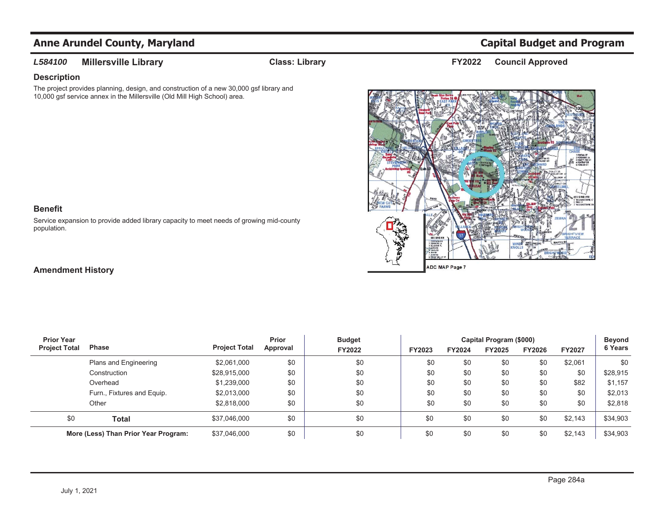## *L584100*

**Millersville Library Class: Library Council Approved FY2022**

## **Description**

The project provides planning, design, and construction of a new 30,000 gsf library and 10,000 gsf service annex in the Millersville (Old Mill High School) area.



### **Benefit**

Service expansion to provide added library capacity to meet needs of growing mid-county population.

## **Amendment History**

| <b>Prior Year</b>    |                                      |                      | Prior    | <b>Budget</b> |        | <b>Beyond</b> |        |               |               |          |
|----------------------|--------------------------------------|----------------------|----------|---------------|--------|---------------|--------|---------------|---------------|----------|
| <b>Project Total</b> | <b>Phase</b>                         | <b>Project Total</b> | Approval | FY2022        | FY2023 | FY2024        | FY2025 | <b>FY2026</b> | <b>FY2027</b> | 6 Years  |
|                      | Plans and Engineering                | \$2,061,000          | \$0      | \$0           | \$0    | \$0           | \$0    | \$0           | \$2,061       | \$0      |
|                      | Construction                         | \$28,915,000         | \$0      | \$0           | \$0    | \$0           | \$0    | \$0           | \$0           | \$28,915 |
|                      | Overhead                             | \$1,239,000          | \$0      | \$0           | \$0    | \$0           | \$0    | \$0           | \$82          | \$1,157  |
|                      | Furn., Fixtures and Equip.           | \$2,013,000          | \$0      | \$0           | \$0    | \$0           | \$0    | \$0           | \$0           | \$2,013  |
|                      | Other                                | \$2,818,000          | \$0      | \$0           | \$0    | \$0           | \$0    | \$0           | \$0           | \$2,818  |
| \$0                  | Total                                | \$37,046,000         | \$0      | \$0           | \$0    | \$0           | \$0    | \$0           | \$2,143       | \$34,903 |
|                      | More (Less) Than Prior Year Program: | \$37,046,000         | \$0      | \$0           | \$0    | \$0           | \$0    | \$0           | \$2,143       | \$34,903 |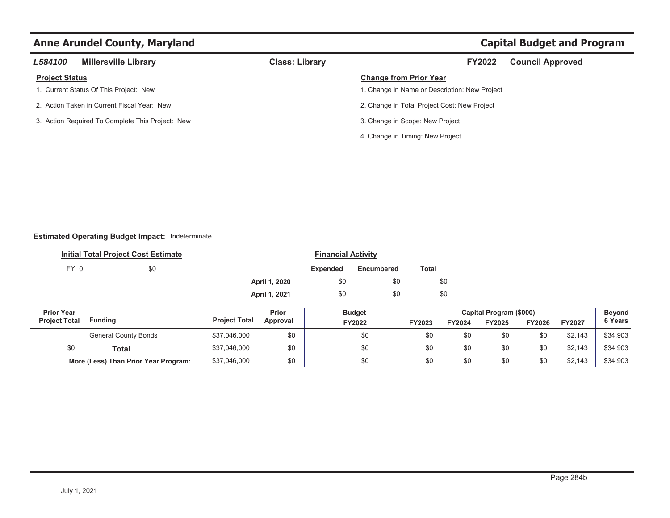## **Anne Arundel County, Maryland County Arrow Capital Budget and Program Capital Budget and Program**

| L584100               | <b>Millersville Library</b>                      | <b>Class: Library</b> | <b>FY2022</b>                                 | <b>Council Approved</b> |
|-----------------------|--------------------------------------------------|-----------------------|-----------------------------------------------|-------------------------|
| <b>Project Status</b> |                                                  |                       | <b>Change from Prior Year</b>                 |                         |
|                       | 1. Current Status Of This Project: New           |                       | 1. Change in Name or Description: New Project |                         |
|                       | 2. Action Taken in Current Fiscal Year: New      |                       | 2. Change in Total Project Cost: New Project  |                         |
|                       | 3. Action Required To Complete This Project: New |                       | 3. Change in Scope: New Project               |                         |
|                       |                                                  |                       | 4. Change in Timing: New Project              |                         |
|                       |                                                  |                       |                                               |                         |

## **Estimated Operating Budget Impact:** Indeterminate

\$0 **Total**

|                                           | <b>Initial Total Project Cost Estimate</b> |                      |                   | <b>Financial Activity</b> |                         |              |        |                                          |               |               |                          |
|-------------------------------------------|--------------------------------------------|----------------------|-------------------|---------------------------|-------------------------|--------------|--------|------------------------------------------|---------------|---------------|--------------------------|
| FY 0                                      | \$0                                        |                      |                   | <b>Expended</b>           | Encumbered              | <b>Total</b> |        |                                          |               |               |                          |
|                                           |                                            |                      | April 1, 2020     | \$0                       |                         | \$0          | \$0    |                                          |               |               |                          |
|                                           |                                            |                      | April 1, 2021     | \$0                       |                         | \$0          | \$0    |                                          |               |               |                          |
| <b>Prior Year</b><br><b>Project Total</b> | <b>Funding</b>                             | <b>Project Total</b> | Prior<br>Approval |                           | <b>Budget</b><br>FY2022 | FY2023       | FY2024 | Capital Program (\$000)<br><b>FY2025</b> | <b>FY2026</b> | <b>FY2027</b> | <b>Beyond</b><br>6 Years |
|                                           | <b>General County Bonds</b>                | \$37,046,000         | \$0               |                           | \$0                     | \$0          | \$0    | \$0                                      | \$0           | \$2,143       | \$34,903                 |

**I** \$37,046,000 \$0 \$0 \$0 \$0 \$0 \$0 \$2,143 | \$34,903

**More (Less) Than Prior Year Program:** \$37,046,000 \$0 \$0 \$0 \$0 \$0 \$0 \$0 \$2,143 \$34,903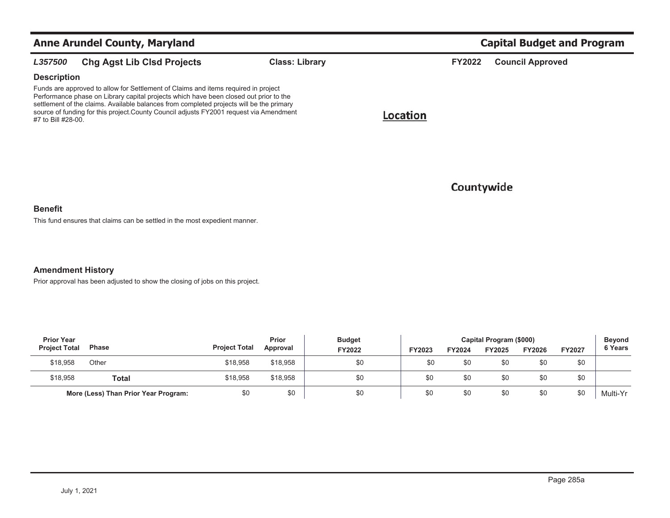|                    | <b>Anne Arundel County, Maryland</b>                                                                                                                                                                                                                                                                                                                               |                       |          | <b>Capital Budget and Program</b> |                         |  |  |  |
|--------------------|--------------------------------------------------------------------------------------------------------------------------------------------------------------------------------------------------------------------------------------------------------------------------------------------------------------------------------------------------------------------|-----------------------|----------|-----------------------------------|-------------------------|--|--|--|
| L357500            | <b>Chg Agst Lib Clsd Projects</b>                                                                                                                                                                                                                                                                                                                                  | <b>Class: Library</b> |          | <b>FY2022</b>                     | <b>Council Approved</b> |  |  |  |
| <b>Description</b> |                                                                                                                                                                                                                                                                                                                                                                    |                       |          |                                   |                         |  |  |  |
| #7 to Bill #28-00. | Funds are approved to allow for Settlement of Claims and items required in project<br>Performance phase on Library capital projects which have been closed out prior to the<br>settlement of the claims. Available balances from completed projects will be the primary<br>source of funding for this project. County Council adjusts FY2001 request via Amendment |                       | Location |                                   |                         |  |  |  |
|                    |                                                                                                                                                                                                                                                                                                                                                                    |                       |          | Countywide                        |                         |  |  |  |

### **Benefit**

This fund ensures that claims can be settled in the most expedient manner.

**Amendment History**

Prior approval has been adjusted to show the closing of jobs on this project.

| <b>Prior Year</b>    |                                      |                      | Prior<br><b>Budget</b> |        |        | Capital Program (\$000) |        |        |               |          |  |
|----------------------|--------------------------------------|----------------------|------------------------|--------|--------|-------------------------|--------|--------|---------------|----------|--|
| <b>Project Total</b> | <b>Phase</b>                         | <b>Project Total</b> | Approval               | FY2022 | FY2023 | FY2024                  | FY2025 | FY2026 | <b>FY2027</b> | 6 Years  |  |
| \$18.958             | Other                                | \$18.958             | \$18,958               | \$0    | \$0    | \$0                     | \$0    | \$0    | \$0           |          |  |
| \$18,958             | Total                                | \$18,958             | \$18,958               | \$0    | \$0    | \$0                     | \$0    | \$0    | \$0           |          |  |
|                      | More (Less) Than Prior Year Program: | \$0                  | \$0                    | \$0    | \$0    | \$0                     | \$0    | \$0    | \$0           | Multi-Yr |  |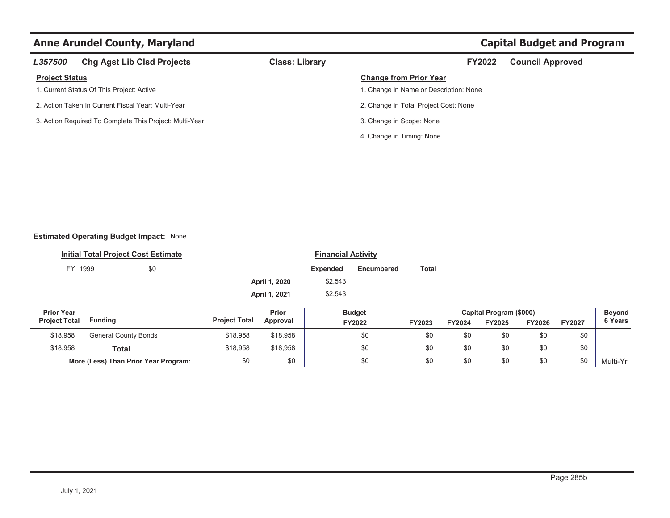# **Anne Arundel County, Maryland Capital Budget and Program Capital Budget and Program**

| L357500               | <b>Chg Agst Lib Clsd Projects</b>                       | <b>Class: Library</b> | <b>FY2022</b>                          | <b>Council Approved</b> |
|-----------------------|---------------------------------------------------------|-----------------------|----------------------------------------|-------------------------|
| <b>Project Status</b> |                                                         |                       | <b>Change from Prior Year</b>          |                         |
|                       | 1. Current Status Of This Project: Active               |                       | 1. Change in Name or Description: None |                         |
|                       | 2. Action Taken In Current Fiscal Year: Multi-Year      |                       | 2. Change in Total Project Cost: None  |                         |
|                       | 3. Action Required To Complete This Project: Multi-Year |                       | 3. Change in Scope: None               |                         |
|                       |                                                         |                       | 4. Change in Timing: None              |                         |

## **Estimated Operating Budget Impact:** None

|                                           | <b>Initial Total Project Cost Estimate</b> |     |                      | <b>Financial Activity</b> |                 |                         |               |                                                     |               |        |                                 |
|-------------------------------------------|--------------------------------------------|-----|----------------------|---------------------------|-----------------|-------------------------|---------------|-----------------------------------------------------|---------------|--------|---------------------------------|
| FY 1999                                   |                                            | \$0 |                      |                           | <b>Expended</b> | Encumbered              | <b>Total</b>  |                                                     |               |        |                                 |
|                                           |                                            |     |                      | April 1, 2020             | \$2,543         |                         |               |                                                     |               |        |                                 |
|                                           |                                            |     |                      | April 1, 2021             | \$2,543         |                         |               |                                                     |               |        |                                 |
| <b>Prior Year</b><br><b>Project Total</b> | Fundina                                    |     | <b>Project Total</b> | Prior<br>Annroval         |                 | <b>Budget</b><br>T10000 | <b>EVODOO</b> | Capital Program (\$000)<br>T110004<br><b>EVOODE</b> | <b>EVODOC</b> | TVAOO7 | <b>Beyond</b><br><b>6 Years</b> |

| <b>Project Total</b> | <b>Funding</b>                       | <b>Project Total</b> | Approval | FY2022 | FY2023 | FY2024 | FY2025 | <b>FY2026</b> | <b>FY2027</b> | 6 Years  |
|----------------------|--------------------------------------|----------------------|----------|--------|--------|--------|--------|---------------|---------------|----------|
| \$18,958             | General County Bonds                 | \$18,958             | \$18,958 |        | \$0    | \$C    |        | \$0           | \$0           |          |
| \$18,958             | Total                                | \$18,958             | \$18,958 |        | \$0    | \$C    |        | \$0           | \$0           |          |
|                      | More (Less) Than Prior Year Program: |                      | \$0      |        | \$0    | \$C    | \$0    | \$0           | \$0           | Multi-Yr |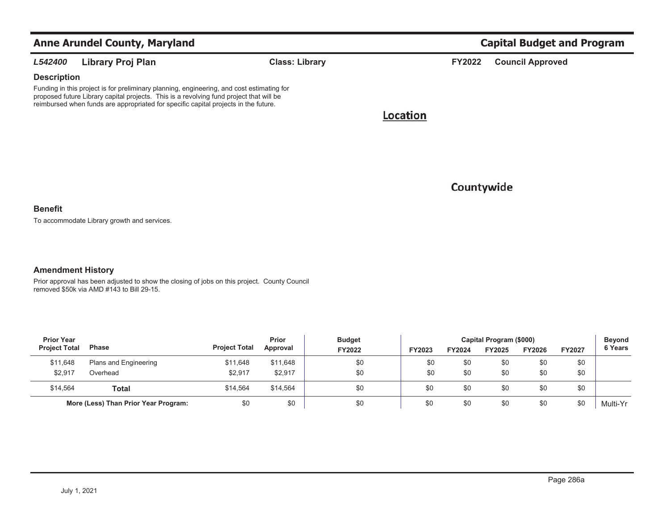|                    | <b>Anne Arundel County, Maryland</b>                                                                                                                                                                                                                                        |                       |          |               | <b>Capital Budget and Program</b> |
|--------------------|-----------------------------------------------------------------------------------------------------------------------------------------------------------------------------------------------------------------------------------------------------------------------------|-----------------------|----------|---------------|-----------------------------------|
| L542400            | Library Proj Plan                                                                                                                                                                                                                                                           | <b>Class: Library</b> |          | <b>FY2022</b> | <b>Council Approved</b>           |
| <b>Description</b> |                                                                                                                                                                                                                                                                             |                       |          |               |                                   |
|                    | Funding in this project is for preliminary planning, engineering, and cost estimating for<br>proposed future Library capital projects. This is a revolving fund project that will be<br>reimbursed when funds are appropriated for specific capital projects in the future. |                       |          |               |                                   |
|                    |                                                                                                                                                                                                                                                                             |                       | Location |               |                                   |
|                    |                                                                                                                                                                                                                                                                             |                       |          |               |                                   |
|                    |                                                                                                                                                                                                                                                                             |                       |          |               |                                   |

Countywide

### **Benefit**

To accommodate Library growth and services.

## **Amendment History**

Prior approval has been adjusted to show the closing of jobs on this project. County Council removed \$50k via AMD #143 to Bill 29-15.

| <b>Prior Year</b>    |                                      |                      |          | Prior<br><b>Budget</b> |        | Capital Program (\$000) |               |               |               |          |  |
|----------------------|--------------------------------------|----------------------|----------|------------------------|--------|-------------------------|---------------|---------------|---------------|----------|--|
| <b>Project Total</b> | <b>Phase</b>                         | <b>Project Total</b> | Approval | <b>FY2022</b>          | FY2023 | FY2024                  | <b>FY2025</b> | <b>FY2026</b> | <b>FY2027</b> | 6 Years  |  |
| \$11,648             | Plans and Engineering                | \$11,648             | \$11,648 | \$0                    | \$0    | \$0                     | \$0           | \$0           | \$0           |          |  |
| \$2.917              | Overhead                             | \$2,917              | \$2,917  | \$0                    | \$0    | \$0                     | \$0           | \$0           | \$0           |          |  |
| \$14.564             | Total                                | \$14.564             | \$14.564 | \$0                    | \$0    | \$0                     | \$0           | \$0           | \$0           |          |  |
|                      | More (Less) Than Prior Year Program: | \$0                  | \$0      | \$0                    | \$0    | \$0                     | \$0           | \$0           | \$0           | Multi-Yr |  |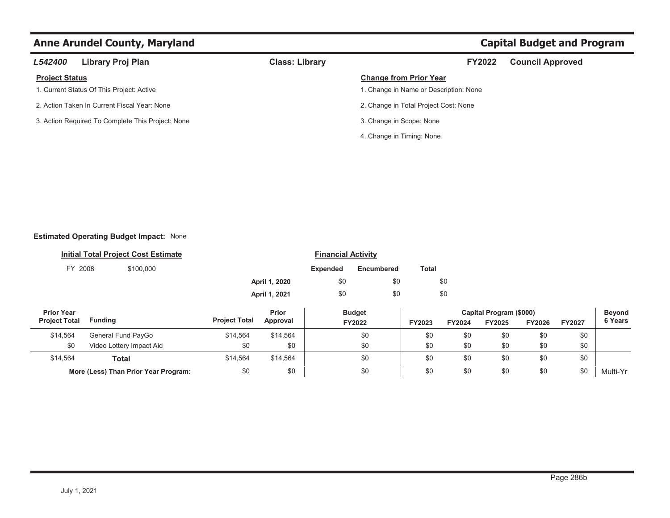# **Anne Arundel County, Maryland Capital Budget and Program Capital Budget and Program**

| L542400                                           | Library Proj Plan                         | <b>Class: Library</b> |                                        | <b>FY2022</b> | <b>Council Approved</b> |  |  |
|---------------------------------------------------|-------------------------------------------|-----------------------|----------------------------------------|---------------|-------------------------|--|--|
| <b>Project Status</b>                             |                                           |                       | <b>Change from Prior Year</b>          |               |                         |  |  |
|                                                   | 1. Current Status Of This Project: Active |                       | 1. Change in Name or Description: None |               |                         |  |  |
| 2. Action Taken In Current Fiscal Year: None      |                                           |                       | 2. Change in Total Project Cost: None  |               |                         |  |  |
| 3. Action Required To Complete This Project: None |                                           |                       | 3. Change in Scope: None               |               |                         |  |  |
|                                                   |                                           |                       | 4. Change in Timing: None              |               |                         |  |  |

## **Estimated Operating Budget Impact:** None

|         | <b>Initial Total Project Cost Estimate</b> | <b>Financial Activity</b> |                 |                   |       |  |  |  |
|---------|--------------------------------------------|---------------------------|-----------------|-------------------|-------|--|--|--|
| FY 2008 | \$100,000                                  |                           | <b>Expended</b> | <b>Encumbered</b> | Total |  |  |  |
|         |                                            | April 1, 2020             | \$0             | \$0               | \$0   |  |  |  |
|         |                                            | April 1, 2021             | \$0             | \$0               | \$0   |  |  |  |
|         |                                            |                           |                 |                   |       |  |  |  |

| <b>Prior Year</b>    |                                      |                      | Prior    | <b>Budget</b> |        | Capital Program (\$000) |               |               |               |          |  |
|----------------------|--------------------------------------|----------------------|----------|---------------|--------|-------------------------|---------------|---------------|---------------|----------|--|
| <b>Project Total</b> | Funding                              | <b>Project Total</b> | Approval | FY2022        | FY2023 | FY2024                  | <b>FY2025</b> | <b>FY2026</b> | <b>FY2027</b> | 6 Years  |  |
| \$14.564             | General Fund PayGo                   | \$14.564             | \$14.564 | \$0           | \$0    | \$0                     | \$0           | \$0           | \$0           |          |  |
| \$0                  | Video Lottery Impact Aid             | \$0                  | \$0      | \$0           | \$0    | \$0                     | \$0           | \$0           | \$0           |          |  |
| \$14,564             | Total                                | \$14,564             | \$14.564 | \$0           | \$0    | \$0                     | \$0           | \$0           | \$0           |          |  |
|                      | More (Less) Than Prior Year Program: | \$0                  | \$0      | \$0           | \$0    | \$0                     | \$0           | \$0           | \$0           | Multi-Yr |  |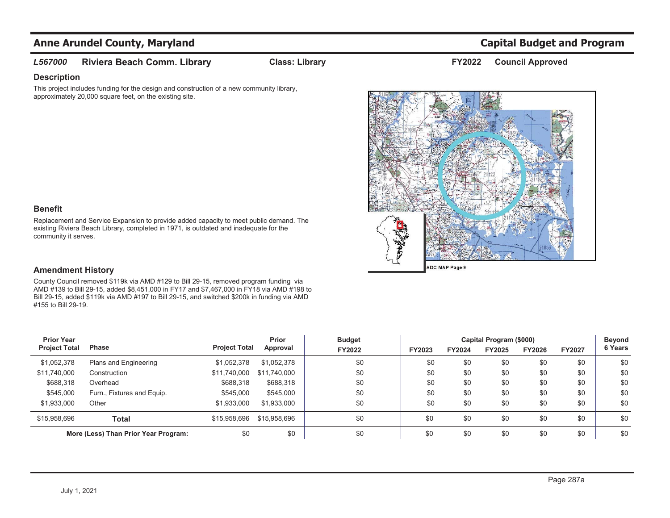### *L567000***Riviera Beach Comm. Library Class: Library Council Approved FY2022**

**Description**

This project includes funding for the design and construction of a new community library, approximately 20,000 square feet, on the existing site.



## **Benefit**

Replacement and Service Expansion to provide added capacity to meet public demand. The existing Riviera Beach Library, completed in 1971, is outdated and inadequate for the community it serves.

## **Amendment History**

County Council removed \$119k via AMD #129 to Bill 29-15, removed program funding via AMD #139 to Bill 29-15, added \$8,451,000 in FY17 and \$7,467,000 in FY18 via AMD #198 to Bill 29-15, added \$119k via AMD #197 to Bill 29-15, and switched \$200k in funding via AMD #155 to Bill 29-19.

| <b>Prior Year</b>                    |                            |                      | Prior        | <b>Budget</b> |        | Capital Program (\$000) |        |               |               |         |
|--------------------------------------|----------------------------|----------------------|--------------|---------------|--------|-------------------------|--------|---------------|---------------|---------|
| <b>Project Total</b>                 | <b>Phase</b>               | <b>Project Total</b> | Approval     | <b>FY2022</b> | FY2023 | <b>FY2024</b>           | FY2025 | <b>FY2026</b> | <b>FY2027</b> | 6 Years |
| \$1,052,378                          | Plans and Engineering      | \$1,052,378          | \$1,052,378  | \$0           | \$0    | \$0                     | \$0    | \$0           | \$0           | \$0     |
| \$11,740,000                         | Construction               | \$11,740,000         | \$11,740,000 | \$0           | \$0    | \$0                     | \$0    | \$0           | \$0           | \$0     |
| \$688,318                            | Overhead                   | \$688,318            | \$688,318    | \$0           | \$0    | \$0                     | \$0    | \$0           | \$0           | \$0     |
| \$545,000                            | Furn., Fixtures and Equip. | \$545,000            | \$545,000    | \$0           | \$0    | \$0                     | \$0    | \$0           | \$0           | \$0     |
| \$1,933,000                          | Other                      | \$1,933,000          | \$1,933,000  | \$0           | \$0    | \$0                     | \$0    | \$0           | \$0           | \$0     |
| \$15,958,696                         | <b>Total</b>               | \$15,958,696         | \$15,958,696 | \$0           | \$0    | \$0                     | \$0    | \$0           | \$0           | \$0     |
| More (Less) Than Prior Year Program: |                            | \$0                  | \$0          | \$0           | \$0    | \$0                     | \$0    | \$0           | \$0           | \$0     |